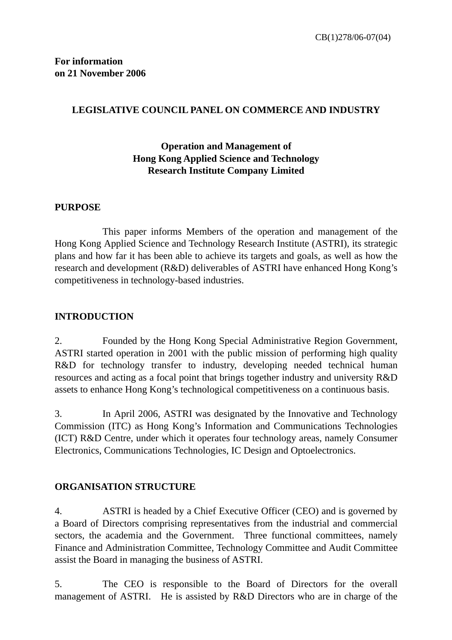### **LEGISLATIVE COUNCIL PANEL ON COMMERCE AND INDUSTRY**

# **Operation and Management of Hong Kong Applied Science and Technology Research Institute Company Limited**

#### **PURPOSE**

This paper informs Members of the operation and management of the Hong Kong Applied Science and Technology Research Institute (ASTRI), its strategic plans and how far it has been able to achieve its targets and goals, as well as how the research and development (R&D) deliverables of ASTRI have enhanced Hong Kong's competitiveness in technology-based industries.

### **INTRODUCTION**

2. Founded by the Hong Kong Special Administrative Region Government, ASTRI started operation in 2001 with the public mission of performing high quality R&D for technology transfer to industry, developing needed technical human resources and acting as a focal point that brings together industry and university R&D assets to enhance Hong Kong's technological competitiveness on a continuous basis.

3. In April 2006, ASTRI was designated by the Innovative and Technology Commission (ITC) as Hong Kong's Information and Communications Technologies (ICT) R&D Centre, under which it operates four technology areas, namely Consumer Electronics, Communications Technologies, IC Design and Optoelectronics.

#### **ORGANISATION STRUCTURE**

4. ASTRI is headed by a Chief Executive Officer (CEO) and is governed by a Board of Directors comprising representatives from the industrial and commercial sectors, the academia and the Government. Three functional committees, namely Finance and Administration Committee, Technology Committee and Audit Committee assist the Board in managing the business of ASTRI.

5. The CEO is responsible to the Board of Directors for the overall management of ASTRI. He is assisted by R&D Directors who are in charge of the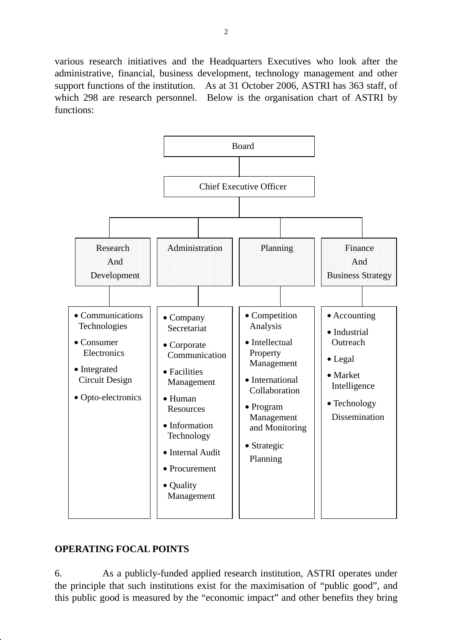various research initiatives and the Headquarters Executives who look after the administrative, financial, business development, technology management and other support functions of the institution. As at 31 October 2006, ASTRI has 363 staff, of which 298 are research personnel. Below is the organisation chart of ASTRI by functions:



## **OPERATING FOCAL POINTS**

6. As a publicly-funded applied research institution, ASTRI operates under the principle that such institutions exist for the maximisation of "public good", and this public good is measured by the "economic impact" and other benefits they bring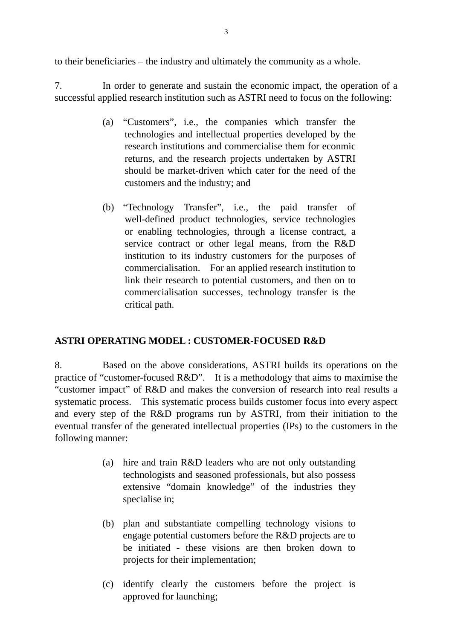to their beneficiaries – the industry and ultimately the community as a whole.

7. In order to generate and sustain the economic impact, the operation of a successful applied research institution such as ASTRI need to focus on the following:

- (a) "Customers", i.e., the companies which transfer the technologies and intellectual properties developed by the research institutions and commercialise them for econmic returns, and the research projects undertaken by ASTRI should be market-driven which cater for the need of the customers and the industry; and
- (b) "Technology Transfer", i.e., the paid transfer of well-defined product technologies, service technologies or enabling technologies, through a license contract, a service contract or other legal means, from the R&D institution to its industry customers for the purposes of commercialisation. For an applied research institution to link their research to potential customers, and then on to commercialisation successes, technology transfer is the critical path.

## **ASTRI OPERATING MODEL : CUSTOMER-FOCUSED R&D**

8. Based on the above considerations, ASTRI builds its operations on the practice of "customer-focused R&D". It is a methodology that aims to maximise the "customer impact" of R&D and makes the conversion of research into real results a systematic process. This systematic process builds customer focus into every aspect and every step of the R&D programs run by ASTRI, from their initiation to the eventual transfer of the generated intellectual properties (IPs) to the customers in the following manner:

- (a) hire and train R&D leaders who are not only outstanding technologists and seasoned professionals, but also possess extensive "domain knowledge" of the industries they specialise in;
- (b) plan and substantiate compelling technology visions to engage potential customers before the R&D projects are to be initiated - these visions are then broken down to projects for their implementation;
- (c) identify clearly the customers before the project is approved for launching;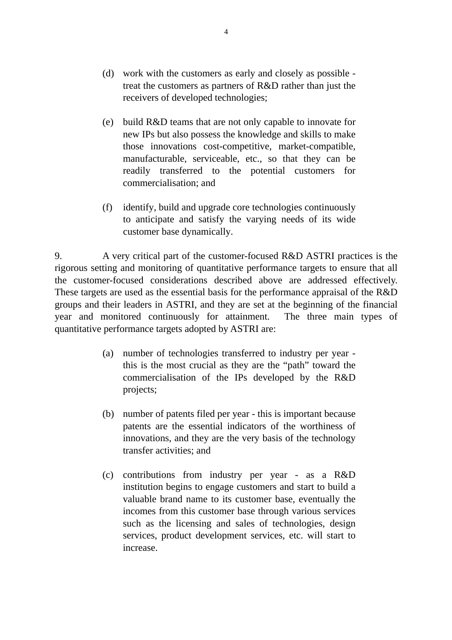- (d) work with the customers as early and closely as possible treat the customers as partners of R&D rather than just the receivers of developed technologies;
- (e) build R&D teams that are not only capable to innovate for new IPs but also possess the knowledge and skills to make those innovations cost-competitive, market-compatible, manufacturable, serviceable, etc., so that they can be readily transferred to the potential customers for commercialisation; and
- (f) identify, build and upgrade core technologies continuously to anticipate and satisfy the varying needs of its wide customer base dynamically.

9. A very critical part of the customer-focused R&D ASTRI practices is the rigorous setting and monitoring of quantitative performance targets to ensure that all the customer-focused considerations described above are addressed effectively. These targets are used as the essential basis for the performance appraisal of the R&D groups and their leaders in ASTRI, and they are set at the beginning of the financial year and monitored continuously for attainment. The three main types of quantitative performance targets adopted by ASTRI are:

- (a) number of technologies transferred to industry per year this is the most crucial as they are the "path" toward the commercialisation of the IPs developed by the R&D projects;
- (b) number of patents filed per year this is important because patents are the essential indicators of the worthiness of innovations, and they are the very basis of the technology transfer activities; and
- (c) contributions from industry per year as a R&D institution begins to engage customers and start to build a valuable brand name to its customer base, eventually the incomes from this customer base through various services such as the licensing and sales of technologies, design services, product development services, etc. will start to increase.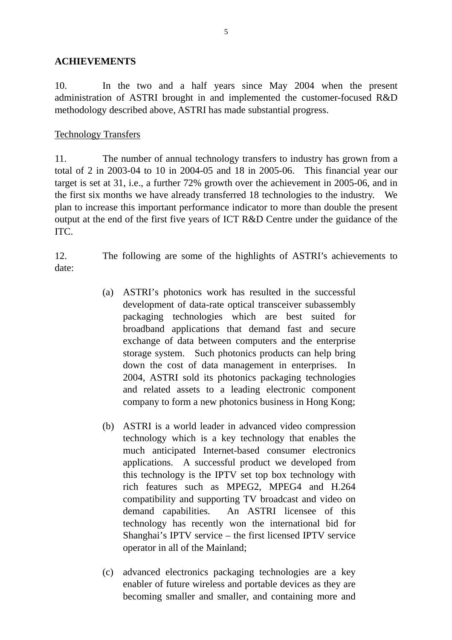#### **ACHIEVEMENTS**

10. In the two and a half years since May 2004 when the present administration of ASTRI brought in and implemented the customer-focused R&D methodology described above, ASTRI has made substantial progress.

#### Technology Transfers

11. The number of annual technology transfers to industry has grown from a total of 2 in 2003-04 to 10 in 2004-05 and 18 in 2005-06. This financial year our target is set at 31, i.e., a further 72% growth over the achievement in 2005-06, and in the first six months we have already transferred 18 technologies to the industry. We plan to increase this important performance indicator to more than double the present output at the end of the first five years of ICT R&D Centre under the guidance of the ITC.

12. The following are some of the highlights of ASTRI's achievements to date:

- (a) ASTRI's photonics work has resulted in the successful development of data-rate optical transceiver subassembly packaging technologies which are best suited for broadband applications that demand fast and secure exchange of data between computers and the enterprise storage system. Such photonics products can help bring down the cost of data management in enterprises. In 2004, ASTRI sold its photonics packaging technologies and related assets to a leading electronic component company to form a new photonics business in Hong Kong;
- (b) ASTRI is a world leader in advanced video compression technology which is a key technology that enables the much anticipated Internet-based consumer electronics applications. A successful product we developed from this technology is the IPTV set top box technology with rich features such as MPEG2, MPEG4 and H.264 compatibility and supporting TV broadcast and video on demand capabilities. An ASTRI licensee of this technology has recently won the international bid for Shanghai's IPTV service – the first licensed IPTV service operator in all of the Mainland;
- (c) advanced electronics packaging technologies are a key enabler of future wireless and portable devices as they are becoming smaller and smaller, and containing more and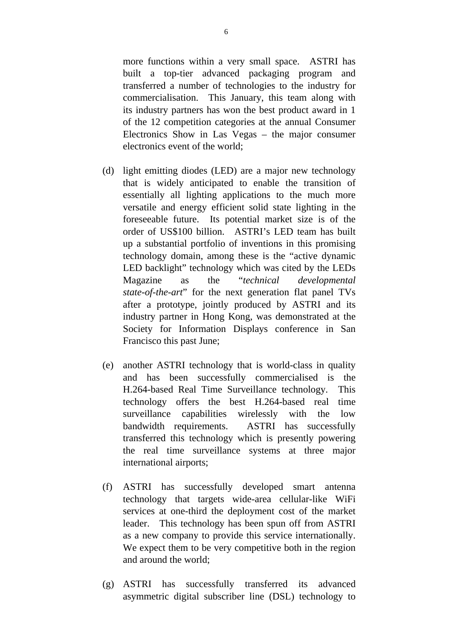more functions within a very small space. ASTRI has built a top-tier advanced packaging program and transferred a number of technologies to the industry for commercialisation. This January, this team along with its industry partners has won the best product award in 1 of the 12 competition categories at the annual Consumer Electronics Show in Las Vegas – the major consumer electronics event of the world;

- (d) light emitting diodes (LED) are a major new technology that is widely anticipated to enable the transition of essentially all lighting applications to the much more versatile and energy efficient solid state lighting in the foreseeable future. Its potential market size is of the order of US\$100 billion. ASTRI's LED team has built up a substantial portfolio of inventions in this promising technology domain, among these is the "active dynamic LED backlight" technology which was cited by the LEDs Magazine as the "*technical developmental state-of-the-art*" for the next generation flat panel TVs after a prototype, jointly produced by ASTRI and its industry partner in Hong Kong, was demonstrated at the Society for Information Displays conference in San Francisco this past June;
- (e) another ASTRI technology that is world-class in quality and has been successfully commercialised is the H.264-based Real Time Surveillance technology. This technology offers the best H.264-based real time surveillance capabilities wirelessly with the low bandwidth requirements. ASTRI has successfully transferred this technology which is presently powering the real time surveillance systems at three major international airports;
- (f) ASTRI has successfully developed smart antenna technology that targets wide-area cellular-like WiFi services at one-third the deployment cost of the market leader. This technology has been spun off from ASTRI as a new company to provide this service internationally. We expect them to be very competitive both in the region and around the world;
- (g) ASTRI has successfully transferred its advanced asymmetric digital subscriber line (DSL) technology to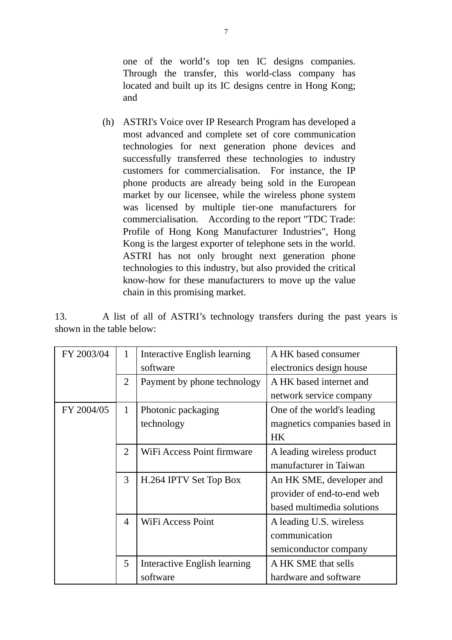one of the world's top ten IC designs companies. Through the transfer, this world-class company has located and built up its IC designs centre in Hong Kong; and

(h) ASTRI's Voice over IP Research Program has developed a most advanced and complete set of core communication technologies for next generation phone devices and successfully transferred these technologies to industry customers for commercialisation. For instance, the IP phone products are already being sold in the European market by our licensee, while the wireless phone system was licensed by multiple tier-one manufacturers for commercialisation. According to the report "TDC Trade: Profile of Hong Kong Manufacturer Industries", Hong Kong is the largest exporter of telephone sets in the world. ASTRI has not only brought next generation phone technologies to this industry, but also provided the critical know-how for these manufacturers to move up the value chain in this promising market.

13. A list of all of ASTRI's technology transfers during the past years is shown in the table below:

| FY 2003/04 | 1              | Interactive English learning | A HK based consumer          |
|------------|----------------|------------------------------|------------------------------|
|            |                | software                     | electronics design house     |
|            | $\overline{2}$ | Payment by phone technology  | A HK based internet and      |
|            |                |                              | network service company      |
| FY 2004/05 | $\mathbf{1}$   | Photonic packaging           | One of the world's leading   |
|            |                | technology                   | magnetics companies based in |
|            |                |                              | <b>HK</b>                    |
|            | $\overline{2}$ | WiFi Access Point firmware   | A leading wireless product   |
|            |                |                              | manufacturer in Taiwan       |
|            | 3              | H.264 IPTV Set Top Box       | An HK SME, developer and     |
|            |                |                              | provider of end-to-end web   |
|            |                |                              | based multimedia solutions   |
|            | $\overline{4}$ | WiFi Access Point            | A leading U.S. wireless      |
|            |                |                              | communication                |
|            |                |                              | semiconductor company        |
|            | 5              | Interactive English learning | A HK SME that sells          |
|            |                | software                     | hardware and software        |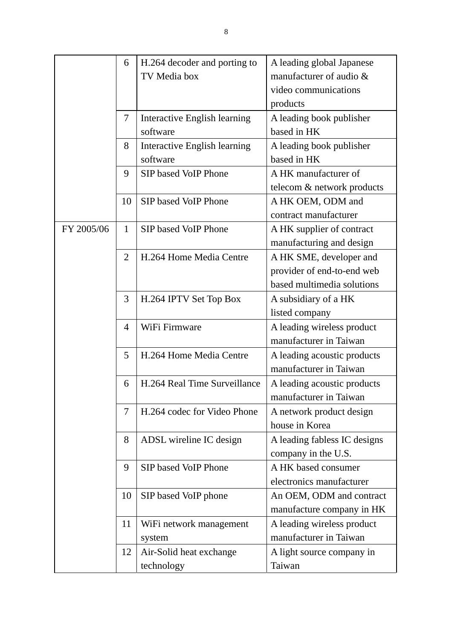|            | 6              | H.264 decoder and porting to | A leading global Japanese    |
|------------|----------------|------------------------------|------------------------------|
|            |                | TV Media box                 | manufacturer of audio $\&$   |
|            |                |                              | video communications         |
|            |                |                              | products                     |
|            | 7              | Interactive English learning | A leading book publisher     |
|            |                | software                     | based in HK                  |
|            | 8              | Interactive English learning | A leading book publisher     |
|            |                | software                     | based in HK                  |
|            | 9              | SIP based VoIP Phone         | A HK manufacturer of         |
|            |                |                              | telecom & network products   |
|            | 10             | <b>SIP</b> based VoIP Phone  | A HK OEM, ODM and            |
|            |                |                              | contract manufacturer        |
| FY 2005/06 | $\mathbf{1}$   | SIP based VoIP Phone         | A HK supplier of contract    |
|            |                |                              | manufacturing and design     |
|            | $\overline{2}$ | H.264 Home Media Centre      | A HK SME, developer and      |
|            |                |                              | provider of end-to-end web   |
|            |                |                              | based multimedia solutions   |
|            | 3              | H.264 IPTV Set Top Box       | A subsidiary of a HK         |
|            |                |                              | listed company               |
|            | 4              | WiFi Firmware                | A leading wireless product   |
|            |                |                              | manufacturer in Taiwan       |
|            | 5              | H.264 Home Media Centre      | A leading acoustic products  |
|            |                |                              | manufacturer in Taiwan       |
|            | 6              | H.264 Real Time Surveillance | A leading acoustic products  |
|            |                |                              | manufacturer in Taiwan       |
|            | 7              | H.264 codec for Video Phone  | A network product design     |
|            |                |                              | house in Korea               |
|            | 8              | ADSL wireline IC design      | A leading fabless IC designs |
|            |                |                              | company in the U.S.          |
|            | 9              | SIP based VoIP Phone         | A HK based consumer          |
|            |                |                              | electronics manufacturer     |
|            | 10             | SIP based VoIP phone         | An OEM, ODM and contract     |
|            |                |                              | manufacture company in HK    |
|            | 11             | WiFi network management      | A leading wireless product   |
|            |                | system                       | manufacturer in Taiwan       |
|            | 12             | Air-Solid heat exchange      | A light source company in    |
|            |                | technology                   | Taiwan                       |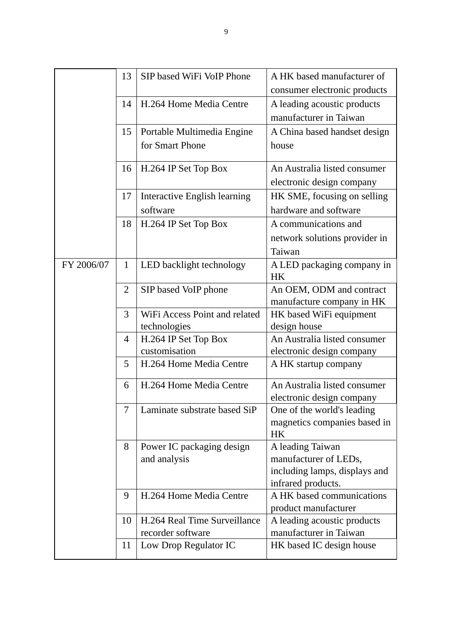|            | 13             | SIP based WiFi VoIP Phone             | A HK based manufacturer of                                |
|------------|----------------|---------------------------------------|-----------------------------------------------------------|
|            |                |                                       | consumer electronic products                              |
|            | 14             | H.264 Home Media Centre               | A leading acoustic products                               |
|            |                |                                       | manufacturer in Taiwan                                    |
|            | 15             | Portable Multimedia Engine            | A China based handset design                              |
|            |                | for Smart Phone                       | house                                                     |
|            | 16             | H.264 IP Set Top Box                  | An Australia listed consumer                              |
|            |                |                                       | electronic design company                                 |
|            | 17             | Interactive English learning          | HK SME, focusing on selling                               |
|            |                | software                              | hardware and software                                     |
|            | 18             | H.264 IP Set Top Box                  | A communications and                                      |
|            |                |                                       | network solutions provider in                             |
|            |                |                                       | Taiwan                                                    |
| FY 2006/07 | $\mathbf{1}$   | LED backlight technology              | A LED packaging company in                                |
|            |                |                                       | <b>HK</b>                                                 |
|            | $\overline{2}$ | SIP based VoIP phone                  | An OEM, ODM and contract                                  |
|            |                |                                       | manufacture company in HK                                 |
|            | 3              | WiFi Access Point and related         | HK based WiFi equipment                                   |
|            |                | technologies                          | design house                                              |
|            | $\overline{4}$ | H.264 IP Set Top Box<br>customisation | An Australia listed consumer<br>electronic design company |
|            | 5              | H.264 Home Media Centre               | A HK startup company                                      |
|            |                |                                       |                                                           |
|            | 6              | H.264 Home Media Centre               | An Australia listed consumer                              |
|            |                |                                       | electronic design company                                 |
|            | 7              | Laminate substrate based SiP          | One of the world's leading                                |
|            |                |                                       | magnetics companies based in<br><b>HK</b>                 |
|            | 8              | Power IC packaging design             | A leading Taiwan                                          |
|            |                | and analysis                          | manufacturer of LEDs,                                     |
|            |                |                                       | including lamps, displays and                             |
|            |                |                                       | infrared products.                                        |
|            | 9              | H.264 Home Media Centre               | A HK based communications                                 |
|            |                |                                       | product manufacturer                                      |
|            | 10             | H.264 Real Time Surveillance          | A leading acoustic products                               |
|            |                | recorder software                     | manufacturer in Taiwan                                    |
|            | 11             | Low Drop Regulator IC                 | HK based IC design house                                  |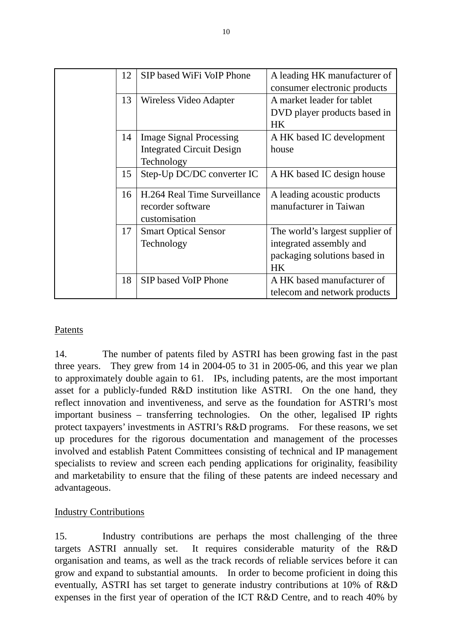|  | 12 | SIP based WiFi VoIP Phone        | A leading HK manufacturer of    |
|--|----|----------------------------------|---------------------------------|
|  |    |                                  | consumer electronic products    |
|  | 13 | Wireless Video Adapter           | A market leader for tablet      |
|  |    |                                  | DVD player products based in    |
|  |    |                                  | <b>HK</b>                       |
|  | 14 | <b>Image Signal Processing</b>   | A HK based IC development       |
|  |    | <b>Integrated Circuit Design</b> | house                           |
|  |    | Technology                       |                                 |
|  | 15 | Step-Up DC/DC converter IC       | A HK based IC design house      |
|  |    |                                  |                                 |
|  | 16 | H.264 Real Time Surveillance     | A leading acoustic products     |
|  |    | recorder software                | manufacturer in Taiwan          |
|  |    | customisation                    |                                 |
|  | 17 | <b>Smart Optical Sensor</b>      | The world's largest supplier of |
|  |    | Technology                       | integrated assembly and         |
|  |    |                                  | packaging solutions based in    |
|  |    |                                  | <b>HK</b>                       |
|  | 18 | SIP based VoIP Phone             | A HK based manufacturer of      |
|  |    |                                  | telecom and network products    |

## Patents

14. The number of patents filed by ASTRI has been growing fast in the past three years. They grew from 14 in 2004-05 to 31 in 2005-06, and this year we plan to approximately double again to 61. IPs, including patents, are the most important asset for a publicly-funded R&D institution like ASTRI. On the one hand, they reflect innovation and inventiveness, and serve as the foundation for ASTRI's most important business – transferring technologies. On the other, legalised IP rights protect taxpayers' investments in ASTRI's R&D programs. For these reasons, we set up procedures for the rigorous documentation and management of the processes involved and establish Patent Committees consisting of technical and IP management specialists to review and screen each pending applications for originality, feasibility and marketability to ensure that the filing of these patents are indeed necessary and advantageous.

## Industry Contributions

15. Industry contributions are perhaps the most challenging of the three targets ASTRI annually set. It requires considerable maturity of the R&D organisation and teams, as well as the track records of reliable services before it can grow and expand to substantial amounts. In order to become proficient in doing this eventually, ASTRI has set target to generate industry contributions at 10% of R&D expenses in the first year of operation of the ICT R&D Centre, and to reach 40% by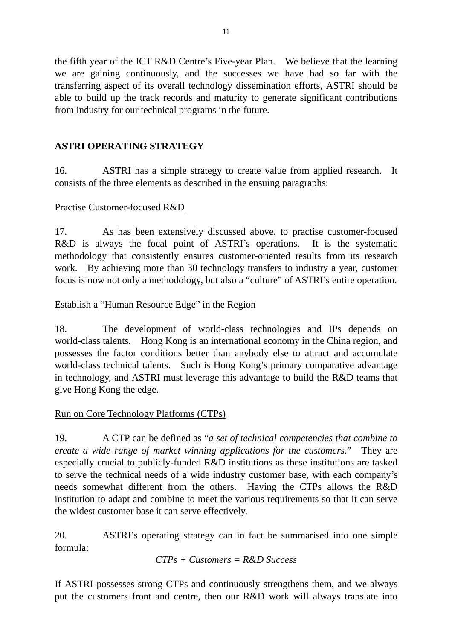the fifth year of the ICT R&D Centre's Five-year Plan. We believe that the learning we are gaining continuously, and the successes we have had so far with the transferring aspect of its overall technology dissemination efforts, ASTRI should be able to build up the track records and maturity to generate significant contributions from industry for our technical programs in the future.

## **ASTRI OPERATING STRATEGY**

16. ASTRI has a simple strategy to create value from applied research. It consists of the three elements as described in the ensuing paragraphs:

## Practise Customer-focused R&D

17. As has been extensively discussed above, to practise customer-focused R&D is always the focal point of ASTRI's operations. It is the systematic methodology that consistently ensures customer-oriented results from its research work. By achieving more than 30 technology transfers to industry a year, customer focus is now not only a methodology, but also a "culture" of ASTRI's entire operation.

## Establish a "Human Resource Edge" in the Region

18. The development of world-class technologies and IPs depends on world-class talents. Hong Kong is an international economy in the China region, and possesses the factor conditions better than anybody else to attract and accumulate world-class technical talents. Such is Hong Kong's primary comparative advantage in technology, and ASTRI must leverage this advantage to build the R&D teams that give Hong Kong the edge.

# Run on Core Technology Platforms (CTPs)

19. A CTP can be defined as "*a set of technical competencies that combine to create a wide range of market winning applications for the customers*." They are especially crucial to publicly-funded R&D institutions as these institutions are tasked to serve the technical needs of a wide industry customer base, with each company's needs somewhat different from the others. Having the CTPs allows the R&D institution to adapt and combine to meet the various requirements so that it can serve the widest customer base it can serve effectively.

20. ASTRI's operating strategy can in fact be summarised into one simple formula:

*CTPs + Customers = R&D Success* 

If ASTRI possesses strong CTPs and continuously strengthens them, and we always put the customers front and centre, then our R&D work will always translate into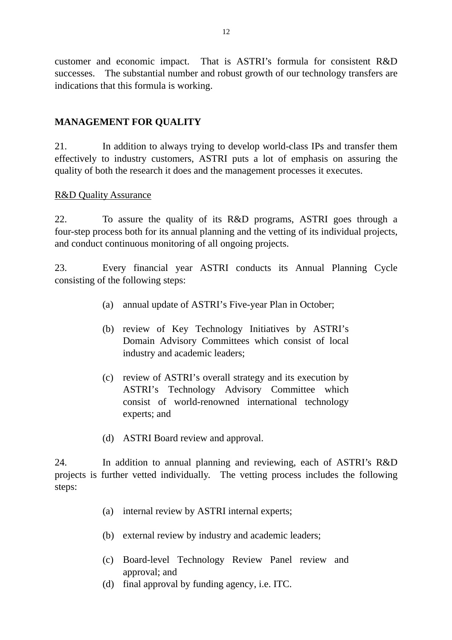customer and economic impact. That is ASTRI's formula for consistent R&D successes. The substantial number and robust growth of our technology transfers are indications that this formula is working.

## **MANAGEMENT FOR QUALITY**

21. In addition to always trying to develop world-class IPs and transfer them effectively to industry customers, ASTRI puts a lot of emphasis on assuring the quality of both the research it does and the management processes it executes.

#### R&D Quality Assurance

22. To assure the quality of its R&D programs, ASTRI goes through a four-step process both for its annual planning and the vetting of its individual projects, and conduct continuous monitoring of all ongoing projects.

23. Every financial year ASTRI conducts its Annual Planning Cycle consisting of the following steps:

- (a) annual update of ASTRI's Five-year Plan in October;
- (b) review of Key Technology Initiatives by ASTRI's Domain Advisory Committees which consist of local industry and academic leaders;
- (c) review of ASTRI's overall strategy and its execution by ASTRI's Technology Advisory Committee which consist of world-renowned international technology experts; and
- (d) ASTRI Board review and approval.

24. In addition to annual planning and reviewing, each of ASTRI's R&D projects is further vetted individually. The vetting process includes the following steps:

- (a) internal review by ASTRI internal experts;
- (b) external review by industry and academic leaders;
- (c) Board-level Technology Review Panel review and approval; and
- (d) final approval by funding agency, i.e. ITC.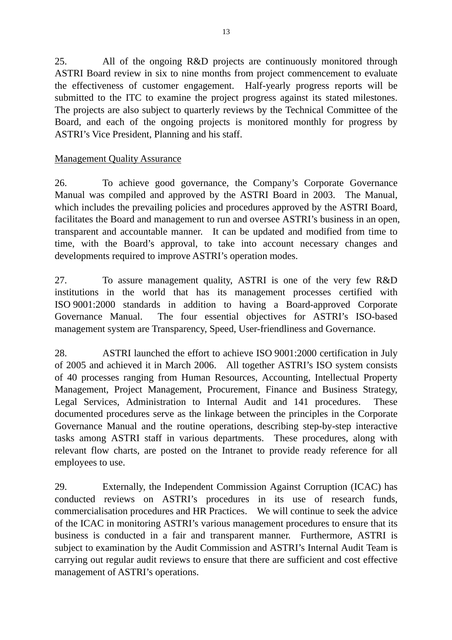25. All of the ongoing R&D projects are continuously monitored through ASTRI Board review in six to nine months from project commencement to evaluate the effectiveness of customer engagement. Half-yearly progress reports will be submitted to the ITC to examine the project progress against its stated milestones. The projects are also subject to quarterly reviews by the Technical Committee of the Board, and each of the ongoing projects is monitored monthly for progress by ASTRI's Vice President, Planning and his staff.

## Management Quality Assurance

26. To achieve good governance, the Company's Corporate Governance Manual was compiled and approved by the ASTRI Board in 2003. The Manual, which includes the prevailing policies and procedures approved by the ASTRI Board, facilitates the Board and management to run and oversee ASTRI's business in an open, transparent and accountable manner. It can be updated and modified from time to time, with the Board's approval, to take into account necessary changes and developments required to improve ASTRI's operation modes.

27. To assure management quality, ASTRI is one of the very few R&D institutions in the world that has its management processes certified with ISO 9001:2000 standards in addition to having a Board-approved Corporate Governance Manual. The four essential objectives for ASTRI's ISO-based management system are Transparency, Speed, User-friendliness and Governance.

28. ASTRI launched the effort to achieve ISO 9001:2000 certification in July of 2005 and achieved it in March 2006. All together ASTRI's ISO system consists of 40 processes ranging from Human Resources, Accounting, Intellectual Property Management, Project Management, Procurement, Finance and Business Strategy, Legal Services, Administration to Internal Audit and 141 procedures. These documented procedures serve as the linkage between the principles in the Corporate Governance Manual and the routine operations, describing step-by-step interactive tasks among ASTRI staff in various departments. These procedures, along with relevant flow charts, are posted on the Intranet to provide ready reference for all employees to use.

29. Externally, the Independent Commission Against Corruption (ICAC) has conducted reviews on ASTRI's procedures in its use of research funds, commercialisation procedures and HR Practices. We will continue to seek the advice of the ICAC in monitoring ASTRI's various management procedures to ensure that its business is conducted in a fair and transparent manner. Furthermore, ASTRI is subject to examination by the Audit Commission and ASTRI's Internal Audit Team is carrying out regular audit reviews to ensure that there are sufficient and cost effective management of ASTRI's operations.